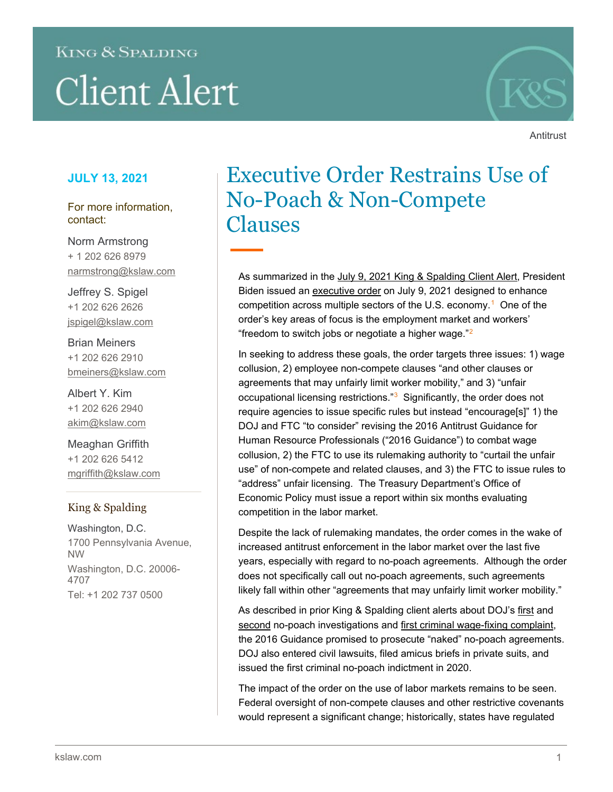# **KING & SPALDING Client Alert**



**Antitrust** 

## **JULY 13, 2021**

For more information, contact:

Norm Armstrong + 1 202 626 8979 narmstrong@kslaw.com

Jeffrey S. Spigel +1 202 626 2626 jspigel@kslaw.com

Brian Meiners +1 202 626 2910 bmeiners@kslaw.com

Albert Y. Kim +1 202 626 2940 akim@kslaw.com

Meaghan Griffith +1 202 626 5412 mgriffith@kslaw.com

### King & Spalding

Washington, D.C. 1700 Pennsylvania Avenue, NW Washington, D.C. 20006- 4707 Tel: +1 202 737 0500

# Executive Order Restrains Use of No-Poach & Non-Compete Clauses

As summarized in the [July 9, 2021 King & Spalding Client Alert,](https://www.kslaw.com/news-and-insights/white-house-issues-executive-order-on-promoting-competition-in-the-american-economy) President Biden issued an [executive order](https://www.whitehouse.gov/briefing-room/presidential-actions/2021/07/09/executive-order-on-promoting-competition-in-the-american-economy/) on July 9, 2021 designed to enhance competition across multiple sectors of the U.S. economy.<sup>[1](#page-1-0)</sup> One of the order's key areas of focus is the employment market and workers' "freedom to switch jobs or negotiate a higher wage." $2$ 

In seeking to address these goals, the order targets three issues: 1) wage collusion, 2) employee non-compete clauses "and other clauses or agreements that may unfairly limit worker mobility," and 3) "unfair occupational licensing restrictions."<sup>[3](#page-1-2)</sup> Significantly, the order does not require agencies to issue specific rules but instead "encourage[s]" 1) the DOJ and FTC "to consider" revising the 2016 Antitrust Guidance for Human Resource Professionals ("2016 Guidance") to combat wage collusion, 2) the FTC to use its rulemaking authority to "curtail the unfair use" of non-compete and related clauses, and 3) the FTC to issue rules to "address" unfair licensing. The Treasury Department's Office of Economic Policy must issue a report within six months evaluating competition in the labor market.

Despite the lack of rulemaking mandates, the order comes in the wake of increased antitrust enforcement in the labor market over the last five years, especially with regard to no-poach agreements. Although the order does not specifically call out no-poach agreements, such agreements likely fall within other "agreements that may unfairly limit worker mobility."

As described in prior King & Spalding client alerts about DOJ's [first](https://www.kslaw.com/news-and-insights/no-poach-investigations) and [second](https://www.kslaw.com/news-and-insights/second-criminal-no-poach-case-brought-by-doj) no-poach investigations and [first criminal wage-fixing complaint,](https://www.kslaw.com/news-and-insights/doj-brings-first-criminal-wage-fixing-complaint) the 2016 Guidance promised to prosecute "naked" no-poach agreements. DOJ also entered civil lawsuits, filed amicus briefs in private suits, and issued the first criminal no-poach indictment in 2020.

The impact of the order on the use of labor markets remains to be seen. Federal oversight of non-compete clauses and other restrictive covenants would represent a significant change; historically, states have regulated